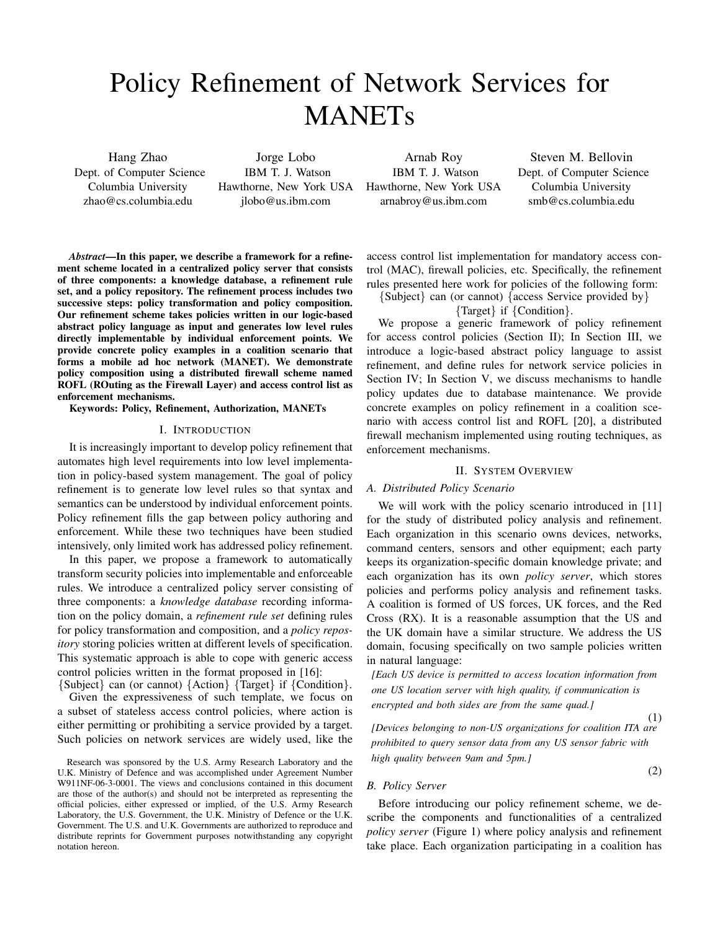# Policy Refinement of Network Services for MANETs

Hang Zhao Dept. of Computer Science Columbia University zhao@cs.columbia.edu

Jorge Lobo IBM T. J. Watson Hawthorne, New York USA jlobo@us.ibm.com

Arnab Roy IBM T. J. Watson Hawthorne, New York USA arnabroy@us.ibm.com

Steven M. Bellovin Dept. of Computer Science Columbia University smb@cs.columbia.edu

*Abstract*—In this paper, we describe a framework for a refinement scheme located in a centralized policy server that consists of three components: a knowledge database, a refinement rule set, and a policy repository. The refinement process includes two successive steps: policy transformation and policy composition. Our refinement scheme takes policies written in our logic-based abstract policy language as input and generates low level rules directly implementable by individual enforcement points. We provide concrete policy examples in a coalition scenario that forms a mobile ad hoc network (MANET). We demonstrate policy composition using a distributed firewall scheme named ROFL (ROuting as the Firewall Layer) and access control list as enforcement mechanisms.

Keywords: Policy, Refinement, Authorization, MANETs

### I. INTRODUCTION

It is increasingly important to develop policy refinement that automates high level requirements into low level implementation in policy-based system management. The goal of policy refinement is to generate low level rules so that syntax and semantics can be understood by individual enforcement points. Policy refinement fills the gap between policy authoring and enforcement. While these two techniques have been studied intensively, only limited work has addressed policy refinement.

In this paper, we propose a framework to automatically transform security policies into implementable and enforceable rules. We introduce a centralized policy server consisting of three components: a *knowledge database* recording information on the policy domain, a *refinement rule set* defining rules for policy transformation and composition, and a *policy repository* storing policies written at different levels of specification. This systematic approach is able to cope with generic access control policies written in the format proposed in [16]:

{Subject} can (or cannot) {Action} {Target} if {Condition}.

Given the expressiveness of such template, we focus on a subset of stateless access control policies, where action is either permitting or prohibiting a service provided by a target. Such policies on network services are widely used, like the access control list implementation for mandatory access control (MAC), firewall policies, etc. Specifically, the refinement rules presented here work for policies of the following form:

{Subject} can (or cannot) {access Service provided by}

{Target} if {Condition}.

We propose a generic framework of policy refinement for access control policies (Section II); In Section III, we introduce a logic-based abstract policy language to assist refinement, and define rules for network service policies in Section IV; In Section V, we discuss mechanisms to handle policy updates due to database maintenance. We provide concrete examples on policy refinement in a coalition scenario with access control list and ROFL [20], a distributed firewall mechanism implemented using routing techniques, as enforcement mechanisms.

## II. SYSTEM OVERVIEW

## *A. Distributed Policy Scenario*

We will work with the policy scenario introduced in [11] for the study of distributed policy analysis and refinement. Each organization in this scenario owns devices, networks, command centers, sensors and other equipment; each party keeps its organization-specific domain knowledge private; and each organization has its own *policy server*, which stores policies and performs policy analysis and refinement tasks. A coalition is formed of US forces, UK forces, and the Red Cross (RX). It is a reasonable assumption that the US and the UK domain have a similar structure. We address the US domain, focusing specifically on two sample policies written in natural language:

*[Each US device is permitted to access location information from one US location server with high quality, if communication is encrypted and both sides are from the same quad.]*

(1) *[Devices belonging to non-US organizations for coalition ITA are prohibited to query sensor data from any US sensor fabric with high quality between 9am and 5pm.]*

(2)

*B. Policy Server*

Before introducing our policy refinement scheme, we describe the components and functionalities of a centralized *policy server* (Figure 1) where policy analysis and refinement take place. Each organization participating in a coalition has

Research was sponsored by the U.S. Army Research Laboratory and the U.K. Ministry of Defence and was accomplished under Agreement Number W911NF-06-3-0001. The views and conclusions contained in this document are those of the author(s) and should not be interpreted as representing the official policies, either expressed or implied, of the U.S. Army Research Laboratory, the U.S. Government, the U.K. Ministry of Defence or the U.K. Government. The U.S. and U.K. Governments are authorized to reproduce and distribute reprints for Government purposes notwithstanding any copyright notation hereon.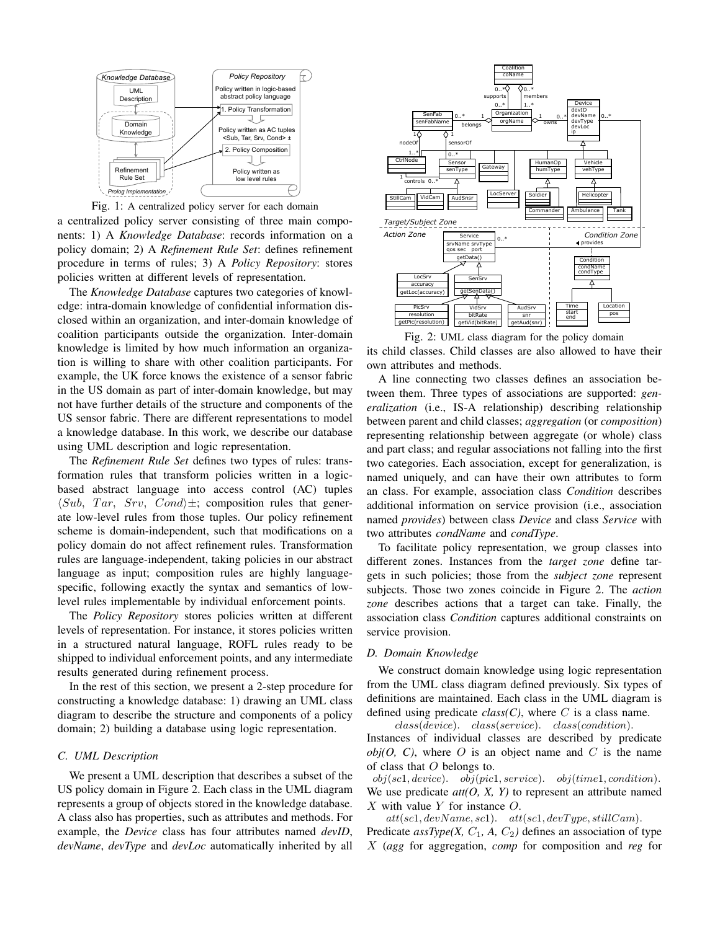



a centralized policy server consisting of three main components: 1) A *Knowledge Database*: records information on a policy domain; 2) A *Refinement Rule Set*: defines refinement procedure in terms of rules; 3) A *Policy Repository*: stores policies written at different levels of representation.

The *Knowledge Database* captures two categories of knowledge: intra-domain knowledge of confidential information disclosed within an organization, and inter-domain knowledge of coalition participants outside the organization. Inter-domain knowledge is limited by how much information an organization is willing to share with other coalition participants. For example, the UK force knows the existence of a sensor fabric in the US domain as part of inter-domain knowledge, but may not have further details of the structure and components of the US sensor fabric. There are different representations to model a knowledge database. In this work, we describe our database using UML description and logic representation.

The *Refinement Rule Set* defines two types of rules: transformation rules that transform policies written in a logicbased abstract language into access control (AC) tuples  $\langle Sub, Tar, Srv, Cond \rangle \pm$ ; composition rules that generate low-level rules from those tuples. Our policy refinement scheme is domain-independent, such that modifications on a policy domain do not affect refinement rules. Transformation rules are language-independent, taking policies in our abstract language as input; composition rules are highly languagespecific, following exactly the syntax and semantics of lowlevel rules implementable by individual enforcement points.

The *Policy Repository* stores policies written at different levels of representation. For instance, it stores policies written in a structured natural language, ROFL rules ready to be shipped to individual enforcement points, and any intermediate results generated during refinement process.

In the rest of this section, we present a 2-step procedure for constructing a knowledge database: 1) drawing an UML class diagram to describe the structure and components of a policy domain; 2) building a database using logic representation.

# *C. UML Description*

We present a UML description that describes a subset of the US policy domain in Figure 2. Each class in the UML diagram represents a group of objects stored in the knowledge database. A class also has properties, such as attributes and methods. For example, the *Device* class has four attributes named *devID*, *devName*, *devType* and *devLoc* automatically inherited by all



Fig. 2: UML class diagram for the policy domain its child classes. Child classes are also allowed to have their own attributes and methods.

A line connecting two classes defines an association between them. Three types of associations are supported: *generalization* (i.e., IS-A relationship) describing relationship between parent and child classes; *aggregation* (or *composition*) representing relationship between aggregate (or whole) class and part class; and regular associations not falling into the first two categories. Each association, except for generalization, is named uniquely, and can have their own attributes to form an class. For example, association class *Condition* describes additional information on service provision (i.e., association named *provides*) between class *Device* and class *Service* with two attributes *condName* and *condType*.

To facilitate policy representation, we group classes into different zones. Instances from the *target zone* define targets in such policies; those from the *subject zone* represent subjects. Those two zones coincide in Figure 2. The *action zone* describes actions that a target can take. Finally, the association class *Condition* captures additional constraints on service provision.

### *D. Domain Knowledge*

We construct domain knowledge using logic representation from the UML class diagram defined previously. Six types of definitions are maintained. Each class in the UML diagram is defined using predicate  $class(C)$ , where C is a class name.

class(device). class(service). class(condition). Instances of individual classes are described by predicate  $obj(O, C)$ , where  $O$  is an object name and  $C$  is the name of class that  $O$  belongs to.

 $obj(scl, device). \quad obj(picl, service). \quad obj(time1, condition).$ We use predicate  $att(O, X, Y)$  to represent an attribute named  $X$  with value  $Y$  for instance  $O$ .

 $att(scl, devName, sc1).$   $att(scl, devType, stillCam).$ Predicate  $\text{assType}(X, C_1, A, C_2)$  defines an association of type X (*agg* for aggregation, *comp* for composition and *reg* for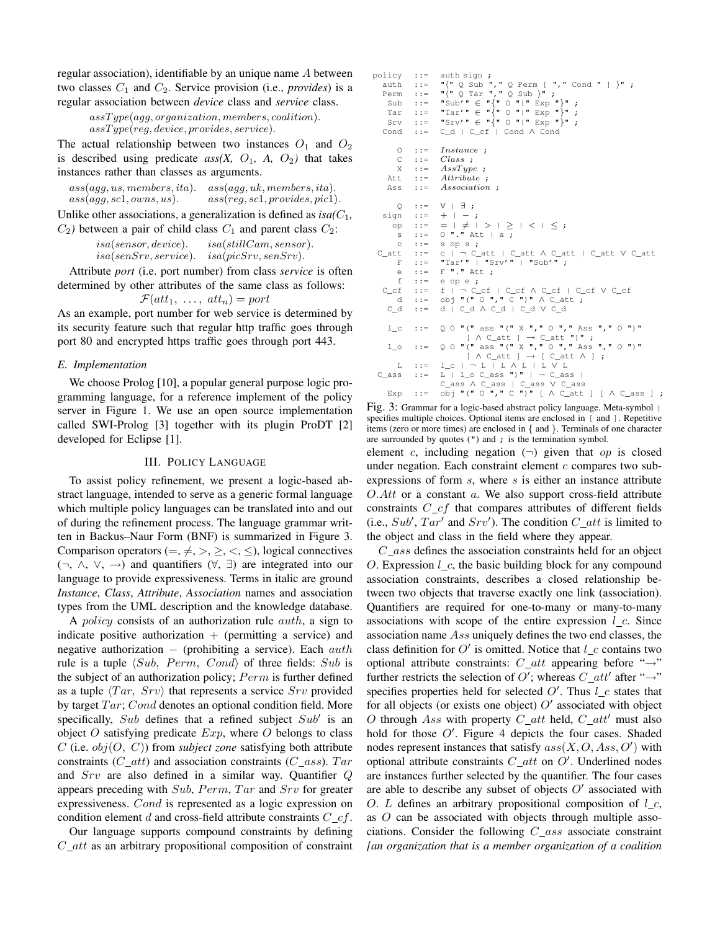regular association), identifiable by an unique name A between two classes  $C_1$  and  $C_2$ . Service provision (i.e., *provides*) is a regular association between *device* class and *service* class.

```
assT ype(agg, organization, members, coalition).
as Type (reg, device, provides, service).
```
The actual relationship between two instances  $O_1$  and  $O_2$ is described using predicate  $ass(X, O_1, A, O_2)$  that takes instances rather than classes as arguments.

| ass (agg, us, members, ita). | ass(agg, uk, members, ita).     |
|------------------------------|---------------------------------|
| ass (agg, sc1, owns, us).    | ass (reg, sc1, provides, pic1). |

Unlike other associations, a generalization is defined as  $isa(C_1)$ ,  $C_2$ ) between a pair of child class  $C_1$  and parent class  $C_2$ :

```
is a (sensor, device). isa(stillCam, sensor).is a (senSrv, service). isa (picSrv, senSrv).
```
Attribute *port* (i.e. port number) from class *service* is often determined by other attributes of the same class as follows:

$$
\mathcal{F}(att_1, \ldots, \, att_n) = port
$$

As an example, port number for web service is determined by its security feature such that regular http traffic goes through port 80 and encrypted https traffic goes through port 443.

# *E. Implementation*

We choose Prolog [10], a popular general purpose logic programming language, for a reference implement of the policy server in Figure 1. We use an open source implementation called SWI-Prolog [3] together with its plugin ProDT [2] developed for Eclipse [1].

# III. POLICY LANGUAGE

To assist policy refinement, we present a logic-based abstract language, intended to serve as a generic formal language which multiple policy languages can be translated into and out of during the refinement process. The language grammar written in Backus–Naur Form (BNF) is summarized in Figure 3. Comparison operators (=,  $\neq$ , >,  $\geq$ , <,  $\leq$ ), logical connectives (¬, ∧, ∨, →) and quantifiers (∀, ∃) are integrated into our language to provide expressiveness. Terms in italic are ground *Instance*, *Class*, *Attribute*, *Association* names and association types from the UML description and the knowledge database.

A *policy* consists of an authorization rule  $auth$ , a sign to indicate positive authorization  $+$  (permitting a service) and negative authorization  $-$  (prohibiting a service). Each  $auth$ rule is a tuple  $\langle Sub, Perm, Cond \rangle$  of three fields: Sub is the subject of an authorization policy;  $Perm$  is further defined as a tuple  $\langle Tar, Srv \rangle$  that represents a service  $Srv$  provided by target  $Tar$ ; Cond denotes an optional condition field. More specifically,  $Sub$  defines that a refined subject  $Sub'$  is an object O satisfying predicate  $Exp$ , where O belongs to class  $C$  (i.e.  $obj(O, C)$ ) from *subject zone* satisfying both attribute constraints ( $C_{att}$ ) and association constraints ( $C_{ass}$ ). Tar and Srv are also defined in a similar way. Quantifier Q appears preceding with  $Sub$ ,  $Perm$ ,  $Tar$  and  $Srv$  for greater expressiveness. Cond is represented as a logic expression on condition element d and cross-field attribute constraints  $C_c \text{-}cf$ .

Our language supports compound constraints by defining  $C_{at}$  as an arbitrary propositional composition of constraint

```
policy ::= auth sign :
   auth ::= \sqrt{\ } Q Sub ", " Q Perm [ ", " Cond " ] \sqrt{\ } ;
    Perm ::= "'(" Q Tar "," Q Sub )" ;<br>Sub ::= "Sub'" ∈ "{" O "|" Exp "}" ;
     Tar ::= "Tar'" \in "\{" \circ "\}" \in "\}";
     Srv ::= "Srv'" \in "{" \circ "|" Exp "}" ;
   Cond ::= C_d | C_cf | Cond ∧ Cond
         \Omega ::= Instance :
         C ::= Class ;
         \verb|X| :: = \ AssType ;Attribute:Ass ::= Association ;
    Q : := \forall |\exists ;<br>sign ::= + | -
    sign ::= + | − ;<br>
op ::= = | ≠ | > | ≥ | < | ≤ ;<br>
s ::= 0 "." Att | a ;
         c ::= sop s;
  C_att ::= c | ¬ C_att | C_att ∧ C_att | C_att ∨ C_att
         F ::= "Tar'" | "Srv'" | "Sub'";
         e ::= F'''.'' Att ;
         f ::= e op e ;
    C_cf ::= f | ¬ C_cf | C_cf ∧ C_cf | C_cf ∨ C_cf<br>d ::= obj "(" 0 "," C ")" ∧ C_att ;
     C_d ::= d | C_d ∧ C_d | C_d ∨ C_d
      l_c ::= Q O "(" ass "(" X "," O "," Ass "," O ")"
                                   [ \wedge C_{\overline{a}} t t ] \rightarrow C_{\overline{a}} t t' ")";
      l_0 ::= Q O "(" ass "(" X "," O "," Ass "," O ")"
                                  [ \wedge C_{\overline{a}}att ] \rightarrow [ C_{\overline{a}}att \wedge ];
  L ::= \begin{array}{c} L ::= \begin{array}{c} L \end{array} \cup \begin{array}{c} L \end{array} \cup \begin{array}{c} L \end{array} \cup \begin{array}{c} L \end{array} \cup \begin{array}{c} L \end{array} \cup \begin{array}{c} L \end{array} \cup \begin{array}{c} L \end{array} \cup \begin{array}{c} L \end{array} \cup \begin{array}{c} L \end{array} \cup \begin{array}{c} L \end{array} \cup \begin{array}{c} L \end{array} \cup \begin{array}{c} L \end{array} \cup \begin{array}{c} L \end{array} \cup \begin{array}{c} L \end{arrayC_ass ∧ C_ass | C_ass ∨ C_ass
     Exp ::= \overrightarrow{obj} "(" O "," C ")" [ \wedge C_att ] [ \wedge C_ass ] ;
```
Fig. 3: Grammar for a logic-based abstract policy language. Meta-symbol | specifies multiple choices. Optional items are enclosed in [ and ]. Repetitive items (zero or more times) are enclosed in { and }. Terminals of one character are surrounded by quotes (") and ; is the termination symbol.

element c, including negation  $(\neg)$  given that op is closed under negation. Each constraint element  $c$  compares two subexpressions of form  $s$ , where  $s$  is either an instance attribute  $O.Att$  or a constant  $a$ . We also support cross-field attribute constraints  $C_c$  that compares attributes of different fields (i.e.,  $Sub'$ ,  $Tar'$  and  $Srv'$ ). The condition  $C_{at}$  is limited to the object and class in the field where they appear.

C ass defines the association constraints held for an object O. Expression  $l_c$ , the basic building block for any compound association constraints, describes a closed relationship between two objects that traverse exactly one link (association). Quantifiers are required for one-to-many or many-to-many associations with scope of the entire expression  $l_c$ . Since association name Ass uniquely defines the two end classes, the class definition for  $O'$  is omitted. Notice that  $l\_{c}$  contains two optional attribute constraints:  $C_{at}t$  appearing before " $\rightarrow$ " further restricts the selection of O'; whereas  $C_{\mathcal{A}}$  after " $\rightarrow$ " specifies properties held for selected  $O'$ . Thus  $l_c$  states that for all objects (or exists one object)  $O'$  associated with object O through Ass with property  $C_{at}t$  held,  $C_{at}t'$  must also hold for those  $O'$ . Figure 4 depicts the four cases. Shaded nodes represent instances that satisfy  $ass(X, O, Ass, O')$  with optional attribute constraints  $C_{at}$  on  $O'$ . Underlined nodes are instances further selected by the quantifier. The four cases are able to describe any subset of objects  $O'$  associated with O. L defines an arbitrary propositional composition of  $l_c$ , as O can be associated with objects through multiple associations. Consider the following  $C_{\_}ass$  associate constraint *[an organization that is a member organization of a coalition*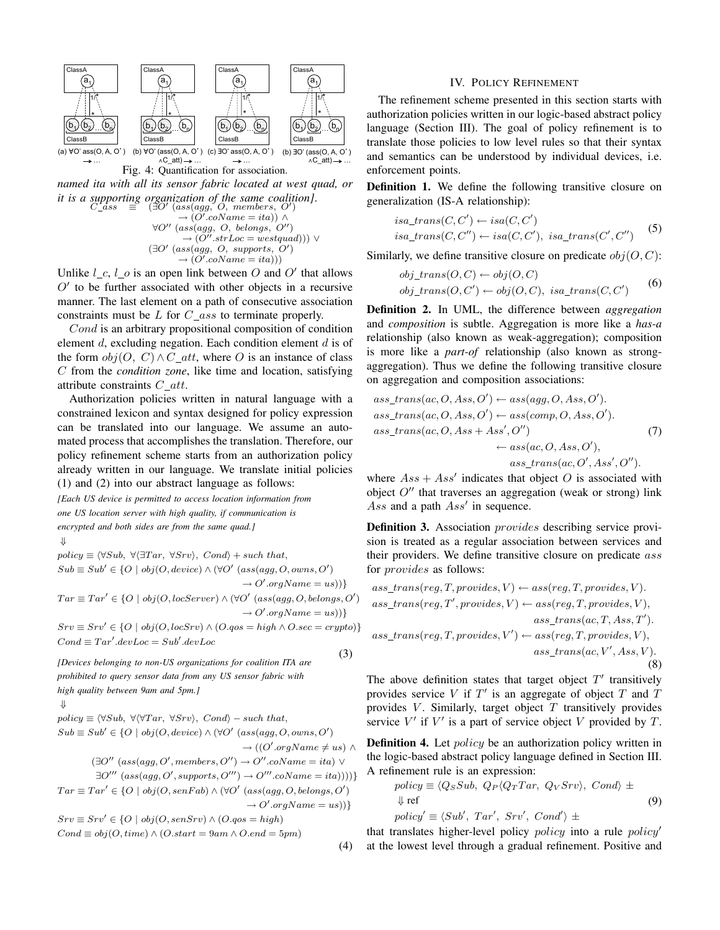

Fig. 4: Quantification for association.

*named ita with all its sensor fabric located at west quad, or it is a supporting organization of the same coalition*].<br>  $C_{\text{L}ass}$   $\equiv$  (∃O' (ass(agg, O, members, O')

$$
(\exists O' (ass(agg, O, members, O')\n\rightarrow (O'.coName = ita)) \land \n\forall O'' (ass(agg, O, belongs, O'')\n\rightarrow (O''.strLoc = westquad))) \lor (\exists O' (ass(agg, O, supports, O')\n\rightarrow (O'.coName = ita)))
$$

Unlike  $l_c$ ,  $l_c$  is an open link between O and O' that allows  $O'$  to be further associated with other objects in a recursive manner. The last element on a path of consecutive association constraints must be  $L$  for  $C_{\_}ass$  to terminate properly.

Cond is an arbitrary propositional composition of condition element  $d$ , excluding negation. Each condition element  $d$  is of the form  $obj(O, C) \wedge C_{at}t$ , where O is an instance of class C from the *condition zone*, like time and location, satisfying attribute constraints  $C_{at}t$ .

Authorization policies written in natural language with a constrained lexicon and syntax designed for policy expression can be translated into our language. We assume an automated process that accomplishes the translation. Therefore, our policy refinement scheme starts from an authorization policy already written in our language. We translate initial policies (1) and (2) into our abstract language as follows:

*[Each US device is permitted to access location information from one US location server with high quality, if communication is encrypted and both sides are from the same quad.]*

$$
\Downarrow
$$

 $policy \equiv \langle \forall Sub, \ \forall \langle \exists Tar, \ \forall Srv \rangle, \ Cond \rangle + such that,$ 

 $Sub \equiv Sub' \in \{O \mid obj(O, device) \land (\forall O' (ass(agg, O, owns, O'))$  $\rightarrow O'.orgName = us))$  $Tar \equiv Tar' \in \{O \mid obj(O, locServer) \land (\forall O' (ass(agg, O, belongs, O'))$  $\rightarrow O'.orgName = us))$ 

 $Srv \equiv Srv' \in \{O \mid obj(O, locSrv) \wedge (O. qos = high \wedge O. sec = crypto)\}$  $Cond \equiv Tar'.devLoc = Sub'.devLoc$ 

*[Devices belonging to non-US organizations for coalition ITA are prohibited to query sensor data from any US sensor fabric with high quality between 9am and 5pm.]*

$$
\Downarrow
$$

 $(⊤<sub>0</sub>)$ 

 $policy \equiv \langle \forall Sub, \forall \forall Tar, \forall Srv \rangle$ , Cond $\rangle$  – such that,

$$
Sub \equiv Sub' \in \{O \mid obj(O, device) \land (\forall O' (ass (agg, O, owns, O'))
$$

$$
\rightarrow ((O'.orgName \neq us) \land
$$
  

$$
\rightarrow ((O'.orgName \neq us) \land
$$

(3)

(4)

$$
(\exists O'' (ass(agg, O', members, O'') \rightarrow O''. coName = ita) \vee
$$
  

$$
\exists O''' (ass(aga, O' ~sumorts, O''') \rightarrow O'''~coName = ita)) \vee
$$

$$
\exists O''' \ (ass(agg, O', supports, O''') \rightarrow O'''. coName = ita))))
$$
  

$$
Tar \equiv Tar' \in \{O \mid obj(O, senFab) \land (\forall O' \ (ass(agg, O, belongs, O') \rightarrow O'.orgName = us))\}
$$

$$
Srv \equiv Srv' \in \{O \mid obj(O, senSrv) \land (O. qos = high)
$$
  
Cond \equiv obj(O, time) \land (O. start = 9am \land O. end = 5pm)

IV. POLICY REFINEMENT

The refinement scheme presented in this section starts with authorization policies written in our logic-based abstract policy language (Section III). The goal of policy refinement is to translate those policies to low level rules so that their syntax and semantics can be understood by individual devices, i.e. enforcement points.

Definition 1. We define the following transitive closure on generalization (IS-A relationship):

$$
is a\_trans(C, C') \leftarrow isa(C, C')
$$
  
\n
$$
is a\_trans(C, C'') \leftarrow isa(C, C'), \; isa\_trans(C', C'')
$$
 (5)

Similarly, we define transitive closure on predicate  $obj(O, C)$ :

$$
obj\_trans(O, C) \leftarrow obj(O, C)
$$
  
 $obj\_trans(O, C') \leftarrow obj(O, C), isa\_trans(C, C')$  (6)

Definition 2. In UML, the difference between *aggregation* and *composition* is subtle. Aggregation is more like a *has-a* relationship (also known as weak-aggregation); composition is more like a *part-of* relationship (also known as strongaggregation). Thus we define the following transitive closure on aggregation and composition associations:

ass\_transform(
$$
ac, O, Ass, O')
$$
) ←  $ass(agg, O, Ass, O')$ ).  
\nass\_transform( $ac, O, Ass, O')$  ←  $ass(comp, O, Ass, O')$ .  
\nass\_transform( $ac, O, Ass + Ass', O''$ ) ←  $ass(ac, O, Ass, O')$ ,  
\n $ass_transform(\alpha c, O', Ass', O'')$ .

where  $Ass + Ass'$  indicates that object O is associated with object  $O''$  that traverses an aggregation (weak or strong) link Ass and a path  $Ass'$  in sequence.

Definition 3. Association *provides* describing service provision is treated as a regular association between services and their providers. We define transitive closure on predicate ass for provides as follows:

$$
ass\_trans(reg, T, provides, V) \leftarrow ass(reg, T, provides, V).
$$
  
\n
$$
ass\_trans(reg, T', provides, V) \leftarrow ass(reg, T, provides, V),
$$
  
\n
$$
ass\_trans(ac, T, Ass, T').
$$
  
\n
$$
ass\_trans(reg, T, provides, V') \leftarrow ass(reg, T, provides, V),
$$
  
\n
$$
ass\_trans(ac, V', Ass, V).
$$
  
\n(8)

The above definition states that target object  $T'$  transitively provides service  $V$  if  $T'$  is an aggregate of object  $T$  and  $T$ provides  $V$ . Similarly, target object  $T$  transitively provides service  $V'$  if  $V'$  is a part of service object V provided by  $T$ .

Definition 4. Let *policy* be an authorization policy written in the logic-based abstract policy language defined in Section III. A refinement rule is an expression:

$$
policy \equiv \langle Q_S Sub, Q_P \langle Q_T Tar, Q_V Srv \rangle, Cond \rangle \pm
$$
  
 
$$
\Downarrow ref
$$
  
 
$$
policy' \equiv \langle Sub', Tar', Srv', Cond' \rangle \pm
$$
 (9)

that translates higher-level policy  $policy$  into a rule  $policy'$ at the lowest level through a gradual refinement. Positive and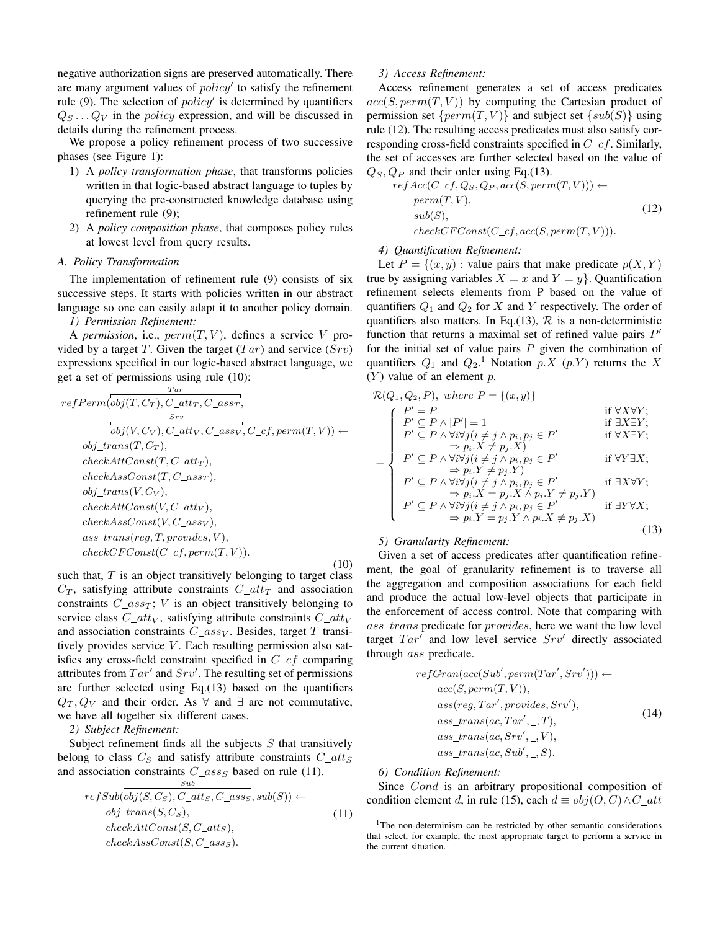negative authorization signs are preserved automatically. There are many argument values of  $policy'$  to satisfy the refinement rule (9). The selection of  $policy'$  is determined by quantifiers  $Q_S \dots Q_V$  in the *policy* expression, and will be discussed in details during the refinement process.

We propose a policy refinement process of two successive phases (see Figure 1):

- 1) A *policy transformation phase*, that transforms policies written in that logic-based abstract language to tuples by querying the pre-constructed knowledge database using refinement rule (9);
- 2) A *policy composition phase*, that composes policy rules at lowest level from query results.

## *A. Policy Transformation*

The implementation of refinement rule (9) consists of six successive steps. It starts with policies written in our abstract language so one can easily adapt it to another policy domain.

*1) Permission Refinement:*

A *permission*, i.e.,  $perm(T, V)$ , defines a service V provided by a target T. Given the target  $(Tar)$  and service  $(Srv)$ expressions specified in our logic-based abstract language, we get a set of permissions using rule (10):

 $T$  are

refPerm
$$
\overbrace{(obj(T, C_T), C_{\_}attr, C_{\_}ass_T, S_{rv})}_{\text{obj}(V, C_V), C_{\_}attr, C_{\_}ass_v, C_{\_}cf, perm(T, V)) \leftarrow
$$
  
\nobj\_rrans(T, C\_T),  
\ncheckAttConst(T, C\_{\\_}str),  
\ncheckAsConst(T, C\_{\\_}ass\_T),  
\nobj\_rrans(V, C\_V),  
\ncheckAttConst(V, C\_{\\_}str),  
\ncheckAsconst(V, C\_{\\_}ass\_v),  
\nass\_rtrans(reg, T, provides, V),  
\ncheckCFConst(C\_{\\_}form(T, V)).  
\n(10)

such that,  $T$  is an object transitively belonging to target class  $C_T$ , satisfying attribute constraints  $C_{\perp}$  and association constraints  $C_{\perp}$  ass $_T$ ; V is an object transitively belonging to service class  $C_{\text{a}}$  catt<sub>V</sub>, satisfying attribute constraints  $C_{\text{a}}$ and association constraints  $C\_ass_V$ . Besides, target T transitively provides service  $V$ . Each resulting permission also satisfies any cross-field constraint specified in  $C_c$  comparing attributes from  $Tar'$  and  $Srv'$ . The resulting set of permissions are further selected using Eq.(13) based on the quantifiers  $Q_T, Q_V$  and their order. As  $\forall$  and  $\exists$  are not commutative, we have all together six different cases.

*2) Subject Refinement:*

Subject refinement finds all the subjects  $S$  that transitively belong to class  $C_S$  and satisfy attribute constraints  $C_{at}t_S$ and association constraints  $C_{\_}ass_S$  based on rule (11). Sub

$$
refSub(obj(S, Cs), C_atts, C_ass, sub(S)) \leftarrow
$$
  
\n
$$
obj\_trans(S, CS),
$$
  
\n
$$
checkAttConst(S, C_atts),
$$
  
\n
$$
checkAssConst(S, C_ass_S).
$$
  
\n(11)

## *3) Access Refinement:*

Access refinement generates a set of access predicates  $acc(S, perm(T, V))$  by computing the Cartesian product of permission set  $\{perm(T, V)\}\$ and subject set  $\{sub(S)\}\$ using rule (12). The resulting access predicates must also satisfy corresponding cross-field constraints specified in  $C_c$  Similarly, the set of accesses are further selected based on the value of  $Q_S, Q_P$  and their order using Eq.(13).

ref
$$
Acc(C_c f, Q_s, Q_P, acc(S, perm(T, V))) \leftarrow
$$
  
perm(T, V),  
sub(S),  
check $CFConst(C_c f, acc(S, perm(T, V))).$  (12)

# *4) Quantification Refinement:*

Let  $P = \{(x, y) :$  value pairs that make predicate  $p(X, Y)$ true by assigning variables  $X = x$  and  $Y = y$ . Quantification refinement selects elements from P based on the value of quantifiers  $Q_1$  and  $Q_2$  for X and Y respectively. The order of quantifiers also matters. In Eq.(13),  $\mathcal{R}$  is a non-deterministic function that returns a maximal set of refined value pairs  $P'$ for the initial set of value pairs  $P$  given the combination of quantifiers  $Q_1$  and  $Q_2$ .<sup>1</sup> Notation  $p.X(p.Y)$  returns the X  $(Y)$  value of an element p.

$$
\mathcal{R}(Q_1, Q_2, P), \text{ where } P = \{(x, y)\}\
$$
  
\n
$$
\begin{cases}\nP' = P & \text{if } \forall X \forall Y; \\
P' \subseteq P \land |P'| = 1 & \text{if } \exists X \exists Y; \\
P' \subseteq P \land \forall i \forall j (i \neq j \land p_i, p_j \in P' & \text{if } \forall X \exists Y; \\
\Rightarrow p_i.X \neq p_j.X) & \text{if } \forall X \exists Y; \\
P' \subseteq P \land \forall i \forall j (i \neq j \land p_i, p_j \in P' & \text{if } \forall Y \exists X;\n\end{cases}
$$

$$
= \left\{\n\begin{array}{l}\nP' \subseteq P \land \forall i \forall j (i \neq j \land p_i, p_j \in P' \\
\Rightarrow p_i.Y \neq p_j.Y\n\end{array}\n\right.
$$
\nif  $\forall Y \exists X;$ 

$$
P' \subseteq P \land \forall i \forall j (i \neq j \land p_i, p_j \in P' \quad \text{if } \exists X \forall Y; \n\Rightarrow p_i.X = p_j.X \land p_i.Y \neq p_j.Y) \nP' \subseteq P \land \forall i \forall j (i \neq j \land p_i, p_j \in P' \quad \text{if } \exists Y \forall X; \n\Rightarrow p_i.Y = p_j.Y \land p_i.X \neq p_j.X)
$$
\n(13)

# *5) Granularity Refinement:*

Given a set of access predicates after quantification refinement, the goal of granularity refinement is to traverse all the aggregation and composition associations for each field and produce the actual low-level objects that participate in the enforcement of access control. Note that comparing with ass\_trans predicate for *provides*, here we want the low level target  $Tar'$  and low level service  $Srv'$  directly associated through ass predicate.

$$
refGran(acc(Sub', perm(Tar', Srv'))) \leftarrow \nccc(S, perm(T, V)),
$$
\n
$$
ass(reg, Tar', provides, Srv'),
$$
\n
$$
ass\_trans(ac, Tar', \_, T),
$$
\n
$$
ass\_trans(ac, Srv', \_, V),
$$
\n
$$
ass\_trans(ac, Sub', \_, S).
$$
\n(14)

## *6) Condition Refinement:*

Since Cond is an arbitrary propositional composition of condition element d, in rule (15), each  $d \equiv obj(O, C) \wedge C_{at}t$ 

<sup>&</sup>lt;sup>1</sup>The non-determinism can be restricted by other semantic considerations that select, for example, the most appropriate target to perform a service in the current situation.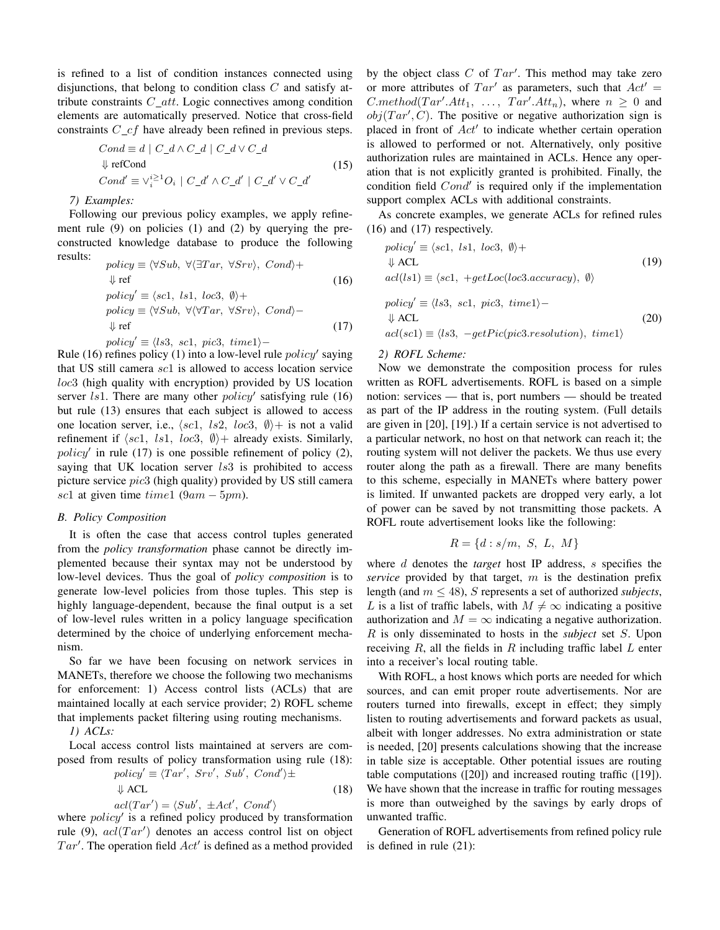is refined to a list of condition instances connected using disjunctions, that belong to condition class  $C$  and satisfy attribute constraints  $C_{\mathcal{A}}$  att. Logic connectives among condition elements are automatically preserved. Notice that cross-field constraints  $C_c f$  have already been refined in previous steps.

$$
Cond \equiv d \mid C_d \wedge C_d \mid C_d \vee C_d
$$
  
\n
$$
\Downarrow \text{refCond}
$$
  
\n
$$
Cond' \equiv \vee_i^{\geq 1}O_i \mid C_d' \wedge C_d' \mid C_d' \vee C_d'
$$
 (15)

## *7) Examples:*

Following our previous policy examples, we apply refinement rule (9) on policies (1) and (2) by querying the preconstructed knowledge database to produce the following results:

$$
policy \equiv \langle \forall Sub, \ \forall \langle \exists Tar, \ \forall Srv \rangle, \ Cond \rangle +
$$
  
\n
$$
\Downarrow ref
$$
 (16)  
\n
$$
policy' \equiv \langle scl, \ ls1, \ loc3, \ \emptyset \rangle +
$$
  
\n
$$
policy \equiv \langle \forall Sub, \ \forall \langle \forall Tar, \ \forall Srv \rangle, \ Cond \rangle -
$$
  
\n
$$
\Downarrow ref
$$
 (17)  
\n
$$
policy' \equiv \langle ls3, \ sc1, \ pic3, \ time1 \rangle -
$$

Rule (16) refines policy (1) into a low-level rule  $policy'$  saying that US still camera sc1 is allowed to access location service loc3 (high quality with encryption) provided by US location server  $ls1$ . There are many other  $policy'$  satisfying rule (16) but rule (13) ensures that each subject is allowed to access one location server, i.e.,  $\langle sc1, \; ls2, \; loc3, \; \emptyset \rangle +$  is not a valid refinement if  $\langle sc1, ls1, loc3, \emptyset \rangle +$  already exists. Similarly,  $policy'$  in rule (17) is one possible refinement of policy (2), saying that UK location server  $ls3$  is prohibited to access picture service pic3 (high quality) provided by US still camera sc1 at given time  $time1$  (9am – 5pm).

## *B. Policy Composition*

It is often the case that access control tuples generated from the *policy transformation* phase cannot be directly implemented because their syntax may not be understood by low-level devices. Thus the goal of *policy composition* is to generate low-level policies from those tuples. This step is highly language-dependent, because the final output is a set of low-level rules written in a policy language specification determined by the choice of underlying enforcement mechanism.

So far we have been focusing on network services in MANETs, therefore we choose the following two mechanisms for enforcement: 1) Access control lists (ACLs) that are maintained locally at each service provider; 2) ROFL scheme that implements packet filtering using routing mechanisms.

*1) ACLs:*

Local access control lists maintained at servers are composed from results of policy transformation using rule (18):

$$
policy' \equiv \langle Tar', Srv', Sub', Cond' \rangle \pm
$$
  
 
$$
\downarrow
$$
 ACL (18)

$$
acl(Tar') = \langle Sub', \pm Act', Cond' \rangle
$$
  
where *policy'* is a refined policy produced by transformation  
rule (9)  $acl(Tar')$  denotes an access control list on object

rule (9),  $acl(Tar')$  denotes an access control list on object  $Tar'$ . The operation field  $Act'$  is defined as a method provided

by the object class  $C$  of  $Tar'$ . This method may take zero or more attributes of  $Tar'$  as parameters, such that  $Act' =$ *C.method*( $Tar'.Att_1, ..., Tar'.Att_n$ ), where  $n \geq 0$  and  $obj(Tar', C)$ . The positive or negative authorization sign is placed in front of Act' to indicate whether certain operation is allowed to performed or not. Alternatively, only positive authorization rules are maintained in ACLs. Hence any operation that is not explicitly granted is prohibited. Finally, the condition field  $Cond'$  is required only if the implementation support complex ACLs with additional constraints.

As concrete examples, we generate ACLs for refined rules (16) and (17) respectively.

$$
policy' \equiv \langle sc1, ls1, loc3, \emptyset \rangle +
$$
  
\n
$$
\Downarrow
$$
 ACL (19)  
\n
$$
acl(ls1) \equiv \langle sc1, +getLoc(loc3, accuracy), \emptyset \rangle
$$
  
\n
$$
policy' \equiv \langle ls3, sc1, pic3, time1 \rangle -
$$
  
\n
$$
\Downarrow
$$
 ACL (20)  
\n
$$
acl(scl) \equiv \langle ls3, -getPic(pic3, resolution), time1 \rangle
$$

## *2) ROFL Scheme:*

Now we demonstrate the composition process for rules written as ROFL advertisements. ROFL is based on a simple notion: services — that is, port numbers — should be treated as part of the IP address in the routing system. (Full details are given in [20], [19].) If a certain service is not advertised to a particular network, no host on that network can reach it; the routing system will not deliver the packets. We thus use every router along the path as a firewall. There are many benefits to this scheme, especially in MANETs where battery power is limited. If unwanted packets are dropped very early, a lot of power can be saved by not transmitting those packets. A ROFL route advertisement looks like the following:

$$
R = \{d : s/m, S, L, M\}
$$

where d denotes the *target* host IP address, s specifies the *service* provided by that target, m is the destination prefix length (and m ≤ 48), S represents a set of authorized *subjects*, L is a list of traffic labels, with  $M \neq \infty$  indicating a positive authorization and  $M = \infty$  indicating a negative authorization. R is only disseminated to hosts in the *subject* set S. Upon receiving  $R$ , all the fields in  $R$  including traffic label  $L$  enter into a receiver's local routing table.

With ROFL, a host knows which ports are needed for which sources, and can emit proper route advertisements. Nor are routers turned into firewalls, except in effect; they simply listen to routing advertisements and forward packets as usual, albeit with longer addresses. No extra administration or state is needed, [20] presents calculations showing that the increase in table size is acceptable. Other potential issues are routing table computations ([20]) and increased routing traffic ([19]). We have shown that the increase in traffic for routing messages is more than outweighed by the savings by early drops of unwanted traffic.

Generation of ROFL advertisements from refined policy rule is defined in rule (21):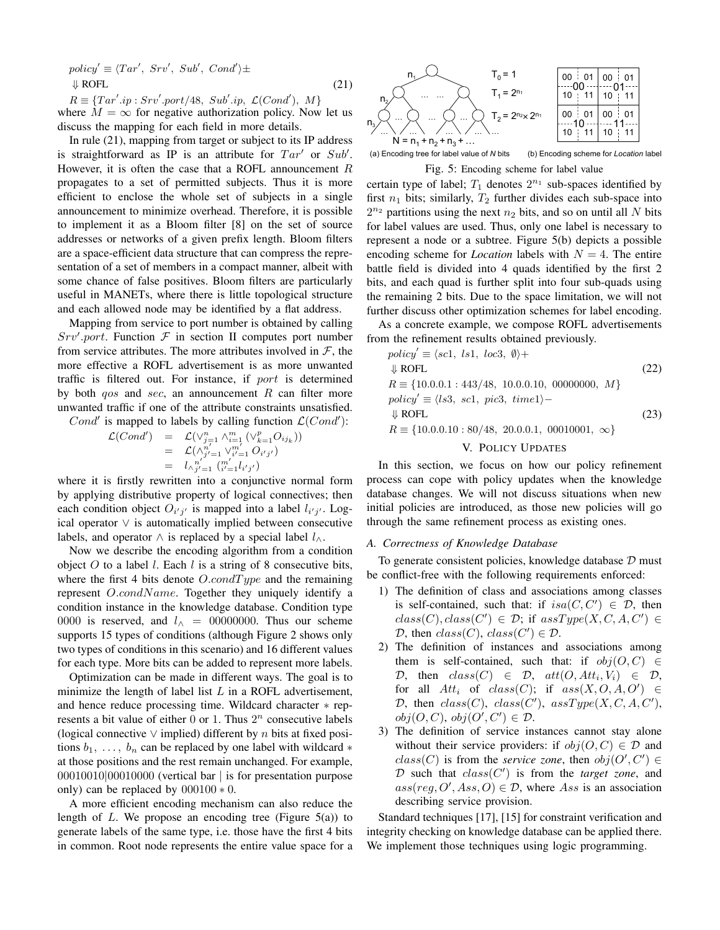$policy' \equiv \langle Tar', Srv', Sub', Cond' \rangle \pm$ ⇓ ROFL

 $R \equiv \{Tar'.ip : Srv'.port/48, Sub'.ip, \mathcal{L}(Cond'), M\}$ where  $M = \infty$  for negative authorization policy. Now let us discuss the mapping for each field in more details.

(21)

In rule (21), mapping from target or subject to its IP address is straightforward as IP is an attribute for  $Tar'$  or  $Sub'$ . However, it is often the case that a ROFL announcement  $R$ propagates to a set of permitted subjects. Thus it is more efficient to enclose the whole set of subjects in a single announcement to minimize overhead. Therefore, it is possible to implement it as a Bloom filter [8] on the set of source addresses or networks of a given prefix length. Bloom filters are a space-efficient data structure that can compress the representation of a set of members in a compact manner, albeit with some chance of false positives. Bloom filters are particularly useful in MANETs, where there is little topological structure and each allowed node may be identified by a flat address.

Mapping from service to port number is obtained by calling  $Srv'.port.$  Function  $F$  in section II computes port number from service attributes. The more attributes involved in  $F$ , the more effective a ROFL advertisement is as more unwanted traffic is filtered out. For instance, if port is determined by both  $qos$  and  $sec$ , an announcement R can filter more unwanted traffic if one of the attribute constraints unsatisfied.

Cond' is mapped to labels by calling function  $\mathcal{L}(Cond')$ :

$$
\mathcal{L}(Cond') = \mathcal{L}(\vee_{j=1}^{n} \wedge_{i=1}^{m} (\vee_{k=1}^{p} O_{i j_{k}}))
$$
  
= 
$$
\mathcal{L}(\wedge_{j'=1}^{n'} \vee_{i'=1}^{m'} O_{i' j'})
$$
  
= 
$$
\iota_{\wedge_{j'=1}}^{n'} (\mathcal{L}'_{i'=1} l_{i' j'})
$$

where it is firstly rewritten into a conjunctive normal form by applying distributive property of logical connectives; then each condition object  $O_{i'j'}$  is mapped into a label  $l_{i'j'}$ . Logical operator ∨ is automatically implied between consecutive labels, and operator  $\land$  is replaced by a special label  $l_{\land}$ .

Now we describe the encoding algorithm from a condition object  $O$  to a label  $l$ . Each  $l$  is a string of 8 consecutive bits, where the first 4 bits denote  $O.condType$  and the remaining represent O.condName. Together they uniquely identify a condition instance in the knowledge database. Condition type 0000 is reserved, and  $l_$  = 00000000. Thus our scheme supports 15 types of conditions (although Figure 2 shows only two types of conditions in this scenario) and 16 different values for each type. More bits can be added to represent more labels.

Optimization can be made in different ways. The goal is to minimize the length of label list  $L$  in a ROFL advertisement, and hence reduce processing time. Wildcard character ∗ represents a bit value of either  $0$  or 1. Thus  $2^n$  consecutive labels (logical connective  $\vee$  implied) different by n bits at fixed positions  $b_1, \ldots, b_n$  can be replaced by one label with wildcard  $*$ at those positions and the rest remain unchanged. For example, 00010010|00010000 (vertical bar | is for presentation purpose only) can be replaced by  $000100 * 0$ .

A more efficient encoding mechanism can also reduce the length of L. We propose an encoding tree (Figure  $5(a)$ ) to generate labels of the same type, i.e. those have the first 4 bits in common. Root node represents the entire value space for a



(a) Encoding tree for label value of *N* bits (b) Encoding scheme for *Location* label Fig. 5: Encoding scheme for label value

certain type of label;  $T_1$  denotes  $2^{n_1}$  sub-spaces identified by first  $n_1$  bits; similarly,  $T_2$  further divides each sub-space into  $2^{n_2}$  partitions using the next  $n_2$  bits, and so on until all N bits for label values are used. Thus, only one label is necessary to represent a node or a subtree. Figure 5(b) depicts a possible encoding scheme for *Location* labels with  $N = 4$ . The entire battle field is divided into 4 quads identified by the first 2 bits, and each quad is further split into four sub-quads using the remaining 2 bits. Due to the space limitation, we will not further discuss other optimization schemes for label encoding.

As a concrete example, we compose ROFL advertisements from the refinement results obtained previously.

$$
policy' \equiv \langle sc1, ls1, loc3, \emptyset \rangle +
$$
  
\n
$$
\Downarrow \text{ROFL}
$$
\n
$$
R \equiv \{10.0.0.1 : 443/48, 10.0.0.10, 00000000, M\}
$$
\n
$$
policy' \equiv \langle ls3, sc1, pic3, time1 \rangle -
$$
\n
$$
\Downarrow \text{ROFL}
$$
\n
$$
R \equiv \{10.0.0.10 : 80/48, 20.0.0.1, 00010001, \infty\}
$$
\n
$$
N, \text{ROFGU} \to \text{SPFGU}
$$
\n(23)

V. POLICY UPDATES

In this section, we focus on how our policy refinement process can cope with policy updates when the knowledge database changes. We will not discuss situations when new initial policies are introduced, as those new policies will go through the same refinement process as existing ones.

## *A. Correctness of Knowledge Database*

To generate consistent policies, knowledge database  $D$  must be conflict-free with the following requirements enforced:

- 1) The definition of class and associations among classes is self-contained, such that: if  $isa(C, C') \in \mathcal{D}$ , then  $class(C), class(C') \in \mathcal{D}$ ; if  $assType(X, C, A, C') \in$ D, then  $class(C)$ ,  $class(C') \in \mathcal{D}$ .
- 2) The definition of instances and associations among them is self-contained, such that: if  $obj(O, C) \in$  $D$ , then  $class(C) \in D$ ,  $att(O, Att_i, V_i) \in D$ , for all  $Att_i$  of  $class(C)$ ; if  $ass(X, O, A, O') \in$ D, then  $class(C)$ ,  $class(C')$ ,  $assType(X, C, A, C')$ ,  $obj(O, C), obj(O', C') \in \mathcal{D}.$
- 3) The definition of service instances cannot stay alone without their service providers: if  $obj(O, C) \in \mathcal{D}$  and  $class(C)$  is from the *service zone*, then  $obj(O', C') \in$  $D$  such that  $class(C')$  is from the *target zone*, and  $ass(reg, O', Ass, O) \in \mathcal{D}$ , where Ass is an association describing service provision.

Standard techniques [17], [15] for constraint verification and integrity checking on knowledge database can be applied there. We implement those techniques using logic programming.